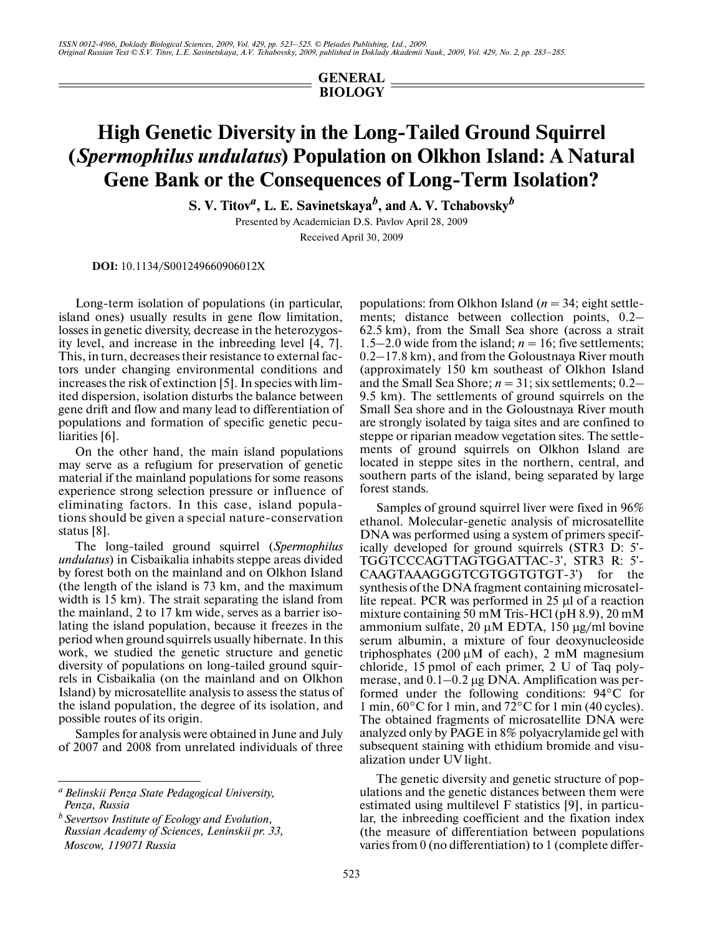*ISSN 0012-4966, Doklady Biological Sciences, 2009, Vol. 429, pp. 523–525. © Pleiades Publishing, Ltd., 2009. Original Russian Text © S.V. Titov, L.E. Savinetskaya, A.V. Tchabovsky, 2009, published in Doklady Akademii Nauk, 2009, Vol. 429, No. 2, pp. 283–285.*

## **GENERAL BIOLOGY**

## **High Genetic Diversity in the Long-Tailed Ground Squirrel (***Spermophilus undulatus***) Population on Olkhon Island: A Natural Gene Bank or the Consequences of Long-Term Isolation?**

 $\mathbf{S}.$  V. Titov<sup>a</sup>, L. E. Savinetskaya<sup>b</sup>, and A. V. Tchabovsky<sup>b</sup>

Presented by Academician D.S. Pavlov April 28, 2009 Received April 30, 2009

**DOI:** 10.1134/S001249660906012X

Long-term isolation of populations (in particular, island ones) usually results in gene flow limitation, losses in genetic diversity, decrease in the heterozygos ity level, and increase in the inbreeding level [4, 7]. This, in turn, decreases their resistance to external fac tors under changing environmental conditions and increases the risk of extinction [5]. In species with lim ited dispersion, isolation disturbs the balance between gene drift and flow and many lead to differentiation of populations and formation of specific genetic pecu liarities [6].

On the other hand, the main island populations may serve as a refugium for preservation of genetic material if the mainland populations for some reasons experience strong selection pressure or influence of eliminating factors. In this case, island popula tions should be given a special nature-conservation status [8].

The long-tailed ground squirrel (*Spermophilus undulatus*) in Cisbaikalia inhabits steppe areas divided by forest both on the mainland and on Olkhon Island (the length of the island is 73 km, and the maximum width is 15 km). The strait separating the island from the mainland, 2 to 17 km wide, serves as a barrier iso lating the island population, because it freezes in the period when ground squirrels usually hibernate. In this work, we studied the genetic structure and genetic diversity of populations on long-tailed ground squir rels in Cisbaikalia (on the mainland and on Olkhon Island) by microsatellite analysis to assess the status of the island population, the degree of its isolation, and possible routes of its origin.

Samples for analysis were obtained in June and July of 2007 and 2008 from unrelated individuals of three

populations: from Olkhon Island (*n* = 34; eight settle ments; distance between collection points, 0.2– 62.5 km), from the Small Sea shore (across a strait 1.5–2.0 wide from the island;  $n = 16$ ; five settlements; 0.2–17.8 km), and from the Goloustnaya River mouth (approximately 150 km southeast of Olkhon Island and the Small Sea Shore;  $n = 31$ ; six settlements;  $0.2-$ 9.5 km). The settlements of ground squirrels on the Small Sea shore and in the Goloustnaya River mouth are strongly isolated by taiga sites and are confined to steppe or riparian meadow vegetation sites. The settle ments of ground squirrels on Olkhon Island are located in steppe sites in the northern, central, and southern parts of the island, being separated by large forest stands.

Samples of ground squirrel liver were fixed in 96% ethanol. Molecular-genetic analysis of microsatellite DNA was performed using a system of primers specif ically developed for ground squirrels (STR3 D: 5'- TGGTCCCAGTTAGTGGATTAC-3', STR3 R: 5'- CAAGTAAAGGGTCGTGGTGTGT-3') for the synthesis of the DNA fragment containing microsatel lite repeat. PCR was performed in 25 µl of a reaction mixture containing 50 mM Tris-HCl (pH 8.9), 20 mM ammonium sulfate,  $20 \mu M$  EDTA,  $150 \mu g/ml$  bovine serum albumin, a mixture of four deoxynucleoside triphosphates  $(200 \mu M)$  of each), 2 mM magnesium chloride, 15 pmol of each primer, 2 U of Taq poly merase, and 0.1–0.2 µg DNA. Amplification was per formed under the following conditions: 94°C for 1 min, 60°C for 1 min, and 72°C for 1 min (40 cycles). The obtained fragments of microsatellite DNA were analyzed only by PAGE in 8% polyacrylamide gel with subsequent staining with ethidium bromide and visu alization under UV light.

The genetic diversity and genetic structure of pop ulations and the genetic distances between them were estimated using multilevel F statistics [9], in particu lar, the inbreeding coefficient and the fixation index (the measure of differentiation between populations varies from 0 (no differentiation) to 1 (complete differ-

*a Belinskii Penza State Pedagogical University, Penza, Russia*

*b Severtsov Institute of Ecology and Evolution, Russian Academy of Sciences, Leninskii pr. 33, Moscow, 119071 Russia*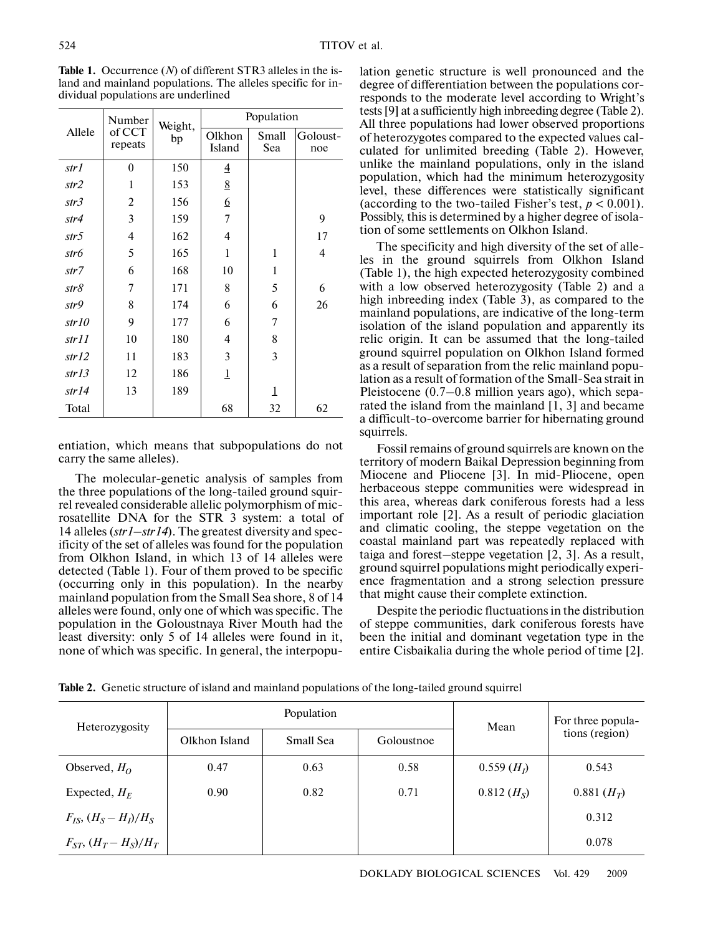| Allele | Number<br>of CCT<br>repeats | Weight,<br>bp | Population       |              |                 |
|--------|-----------------------------|---------------|------------------|--------------|-----------------|
|        |                             |               | Olkhon<br>Island | Small<br>Sea | Goloust-<br>noe |
| str1   | $\boldsymbol{0}$            | 150           | $\overline{4}$   |              |                 |
| str2   | 1                           | 153           | 8                |              |                 |
| str3   | 2                           | 156           | 6                |              |                 |
| str4   | 3                           | 159           | 7                |              | 9               |
| str5   | $\overline{4}$              | 162           | $\overline{4}$   |              | 17              |
| str6   | 5                           | 165           | 1                | $\mathbf{1}$ | 4               |
| str7   | 6                           | 168           | 10               | 1            |                 |
| str8   | 7                           | 171           | 8                | 5            | 6               |
| str9   | 8                           | 174           | 6                | 6            | 26              |
| str10  | 9                           | 177           | 6                | 7            |                 |
| str11  | 10                          | 180           | 4                | 8            |                 |
| str12  | 11                          | 183           | 3                | 3            |                 |
| str13  | 12                          | 186           | $\mathbf 1$      |              |                 |
| str14  | 13                          | 189           |                  | $\mathbf 1$  |                 |
| Total  |                             |               | 68               | 32           | 62              |

**Table 1.** Occurrence (*N*) of different STR3 alleles in the is land and mainland populations. The alleles specific for in dividual populations are underlined

entiation, which means that subpopulations do not carry the same alleles).

The molecular-genetic analysis of samples from the three populations of the long-tailed ground squir rel revealed considerable allelic polymorphism of mic rosatellite DNA for the STR 3 system: a total of 14 alleles (*str1*–*str14*). The greatest diversity and spec ificity of the set of alleles was found for the population from Olkhon Island, in which 13 of 14 alleles were detected (Table 1). Four of them proved to be specific (occurring only in this population). In the nearby mainland population from the Small Sea shore, 8 of 14 alleles were found, only one of which was specific. The population in the Goloustnaya River Mouth had the least diversity: only 5 of 14 alleles were found in it, none of which was specific. In general, the interpopulation genetic structure is well pronounced and the degree of differentiation between the populations cor responds to the moderate level according to Wright's tests [9] at a sufficiently high inbreeding degree (Table 2). All three populations had lower observed proportions of heterozygotes compared to the expected values cal culated for unlimited breeding (Table 2). However, unlike the mainland populations, only in the island population, which had the minimum heterozygosity level, these differences were statistically significant (according to the two-tailed Fisher's test,  $p < 0.001$ ). Possibly, this is determined by a higher degree of isola tion of some settlements on Olkhon Island.

The specificity and high diversity of the set of alle les in the ground squirrels from Olkhon Island (Table 1), the high expected heterozygosity combined with a low observed heterozygosity (Table 2) and a high inbreeding index (Table 3), as compared to the mainland populations, are indicative of the long-term isolation of the island population and apparently its relic origin. It can be assumed that the long-tailed ground squirrel population on Olkhon Island formed as a result of separation from the relic mainland popu lation as a result of formation of the Small-Sea strait in Pleistocene (0.7–0.8 million years ago), which sepa rated the island from the mainland [1, 3] and became a difficult-to-overcome barrier for hibernating ground squirrels.

Fossil remains of ground squirrels are known on the territory of modern Baikal Depression beginning from Miocene and Pliocene [3]. In mid-Pliocene, open herbaceous steppe communities were widespread in this area, whereas dark coniferous forests had a less important role [2]. As a result of periodic glaciation and climatic cooling, the steppe vegetation on the coastal mainland part was repeatedly replaced with taiga and forest–steppe vegetation [2, 3]. As a result, ground squirrel populations might periodically experi ence fragmentation and a strong selection pressure that might cause their complete extinction.

Despite the periodic fluctuations in the distribution of steppe communities, dark coniferous forests have been the initial and dominant vegetation type in the entire Cisbaikalia during the whole period of time [2].

Table 2. Genetic structure of island and mainland populations of the long-tailed ground squirrel

| Heterozygosity               | Population    |           |            | Mean                   | For three popula- |
|------------------------------|---------------|-----------|------------|------------------------|-------------------|
|                              | Olkhon Island | Small Sea | Goloustnoe |                        | tions (region)    |
| Observed, $H_0$              | 0.47          | 0.63      | 0.58       | 0.559(H <sub>I</sub> ) | 0.543             |
| Expected, $H_F$              | 0.90          | 0.82      | 0.71       | $0.812 (H_S)$          | 0.881 $(H_T)$     |
| $F_{IS}$ , $(H_S - H_I)/H_S$ |               |           |            |                        | 0.312             |
| $F_{ST}$ , $(H_T - H_S)/H_T$ |               |           |            |                        | 0.078             |